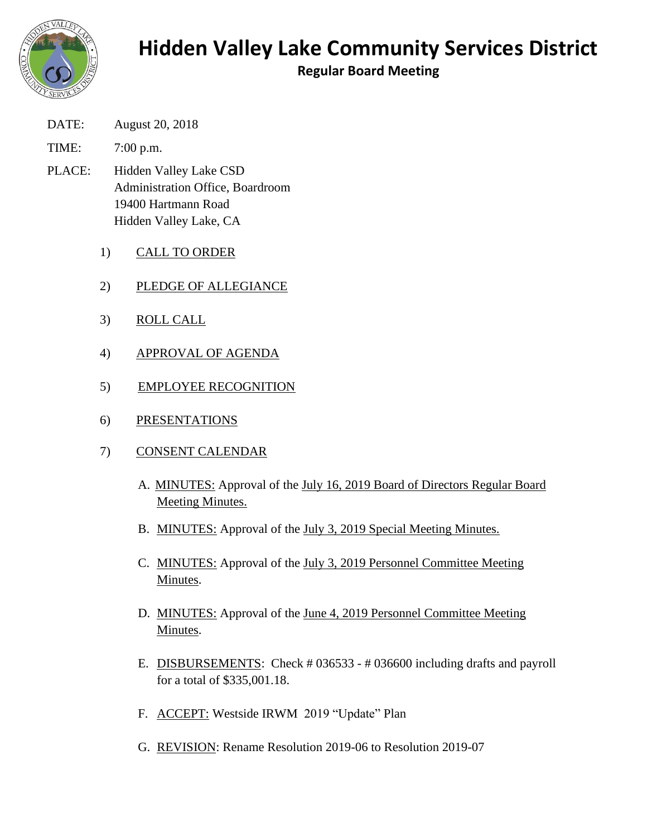

## **Hidden Valley Lake Community Services District**

**Regular Board Meeting**

- DATE: August 20, 2018
- TIME: 7:00 p.m.
- PLACE: Hidden Valley Lake CSD Administration Office, Boardroom 19400 Hartmann Road Hidden Valley Lake, CA
	- 1) CALL TO ORDER
	- 2) PLEDGE OF ALLEGIANCE
	- 3) ROLL CALL
	- 4) APPROVAL OF AGENDA
	- 5) EMPLOYEE RECOGNITION
	- 6) PRESENTATIONS
	- 7) CONSENT CALENDAR
		- A. MINUTES: Approval of the July 16, 2019 Board of Directors Regular Board Meeting Minutes.
		- B. MINUTES: Approval of the July 3, 2019 Special Meeting Minutes.
		- C. MINUTES: Approval of the July 3, 2019 Personnel Committee Meeting Minutes.
		- D. MINUTES: Approval of the June 4, 2019 Personnel Committee Meeting Minutes.
		- E. DISBURSEMENTS: Check # 036533 # 036600 including drafts and payroll for a total of \$335,001.18.
		- F. ACCEPT: Westside IRWM 2019 "Update" Plan
		- G. REVISION: Rename Resolution 2019-06 to Resolution 2019-07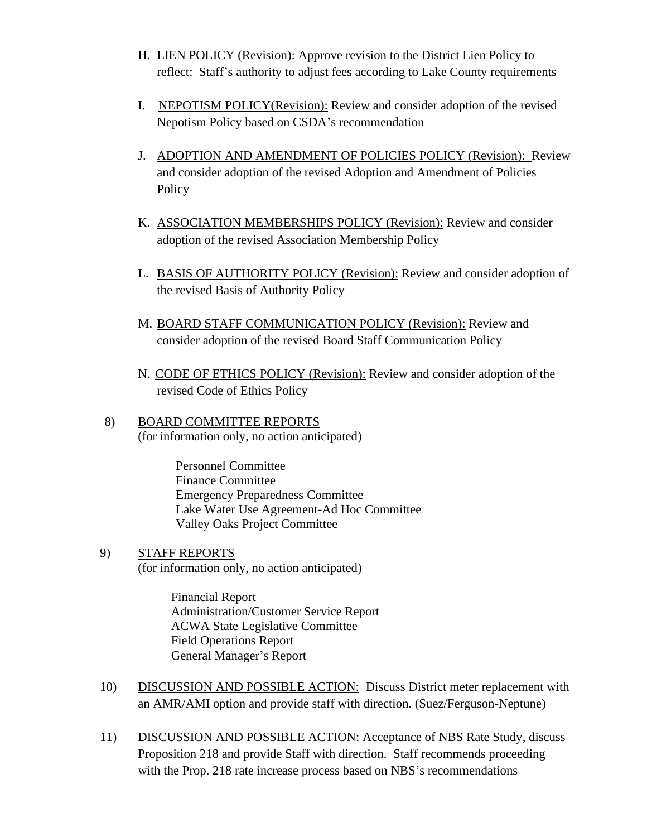- H. LIEN POLICY (Revision): Approve revision to the District Lien Policy to reflect: Staff's authority to adjust fees according to Lake County requirements
- I. NEPOTISM POLICY(Revision): Review and consider adoption of the revised Nepotism Policy based on CSDA's recommendation
- J. ADOPTION AND AMENDMENT OF POLICIES POLICY (Revision): Review and consider adoption of the revised Adoption and Amendment of Policies **Policy**
- K. ASSOCIATION MEMBERSHIPS POLICY (Revision): Review and consider adoption of the revised Association Membership Policy
- L. BASIS OF AUTHORITY POLICY (Revision): Review and consider adoption of the revised Basis of Authority Policy
- M. BOARD STAFF COMMUNICATION POLICY (Revision): Review and consider adoption of the revised Board Staff Communication Policy
- N. CODE OF ETHICS POLICY (Revision): Review and consider adoption of the revised Code of Ethics Policy
- 8) BOARD COMMITTEE REPORTS (for information only, no action anticipated)

Personnel Committee Finance Committee Emergency Preparedness Committee Lake Water Use Agreement-Ad Hoc Committee Valley Oaks Project Committee

9) STAFF REPORTS (for information only, no action anticipated)

> Financial Report Administration/Customer Service Report ACWA State Legislative Committee Field Operations Report General Manager's Report

- 10) DISCUSSION AND POSSIBLE ACTION: Discuss District meter replacement with an AMR/AMI option and provide staff with direction. (Suez/Ferguson-Neptune)
- 11) DISCUSSION AND POSSIBLE ACTION: Acceptance of NBS Rate Study, discuss Proposition 218 and provide Staff with direction. Staff recommends proceeding with the Prop. 218 rate increase process based on NBS's recommendations